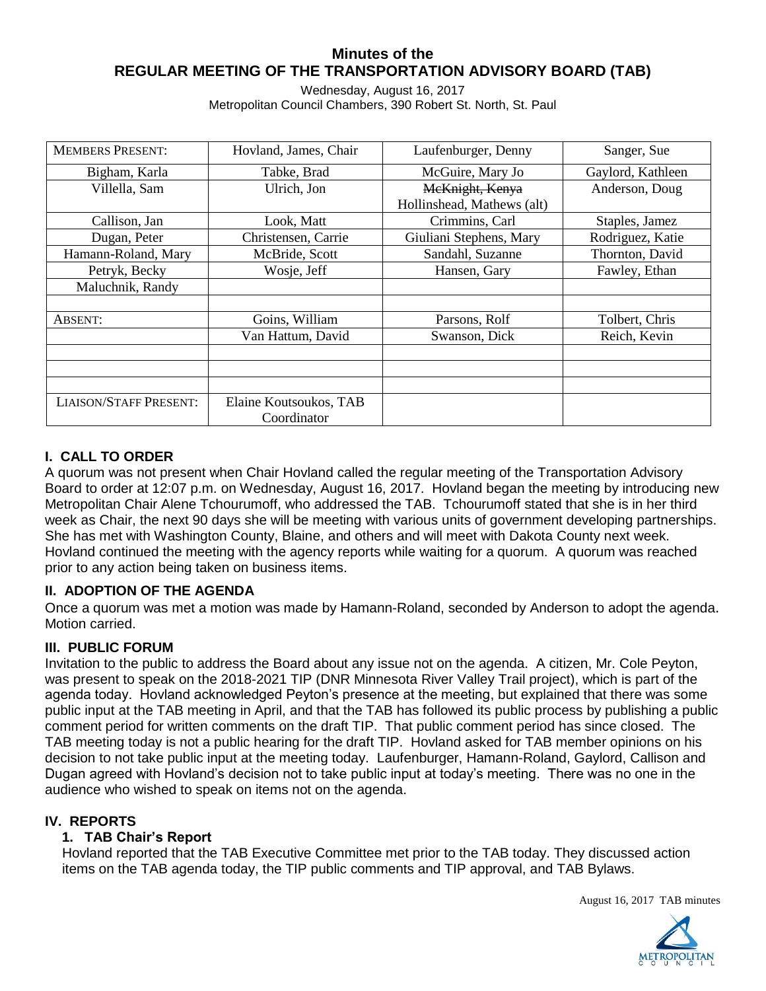## **Minutes of the REGULAR MEETING OF THE TRANSPORTATION ADVISORY BOARD (TAB)**

Wednesday, August 16, 2017 Metropolitan Council Chambers, 390 Robert St. North, St. Paul

| <b>MEMBERS PRESENT:</b>       | Hovland, James, Chair  | Laufenburger, Denny        | Sanger, Sue       |
|-------------------------------|------------------------|----------------------------|-------------------|
| Bigham, Karla                 | Tabke, Brad            | McGuire, Mary Jo           | Gaylord, Kathleen |
| Villella, Sam                 | Ulrich, Jon            | McKnight, Kenya            | Anderson, Doug    |
|                               |                        | Hollinshead, Mathews (alt) |                   |
| Callison, Jan                 | Look, Matt             | Crimmins, Carl             | Staples, Jamez    |
| Dugan, Peter                  | Christensen, Carrie    | Giuliani Stephens, Mary    | Rodriguez, Katie  |
| Hamann-Roland, Mary           | McBride, Scott         | Sandahl, Suzanne           | Thornton, David   |
| Petryk, Becky                 | Wosje, Jeff            | Hansen, Gary               | Fawley, Ethan     |
| Maluchnik, Randy              |                        |                            |                   |
|                               |                        |                            |                   |
| ABSENT:                       | Goins, William         | Parsons, Rolf              | Tolbert, Chris    |
|                               | Van Hattum, David      | Swanson, Dick              | Reich, Kevin      |
|                               |                        |                            |                   |
|                               |                        |                            |                   |
|                               |                        |                            |                   |
| <b>LIAISON/STAFF PRESENT:</b> | Elaine Koutsoukos, TAB |                            |                   |
|                               | Coordinator            |                            |                   |

# **I. CALL TO ORDER**

A quorum was not present when Chair Hovland called the regular meeting of the Transportation Advisory Board to order at 12:07 p.m. on Wednesday, August 16, 2017. Hovland began the meeting by introducing new Metropolitan Chair Alene Tchourumoff, who addressed the TAB. Tchourumoff stated that she is in her third week as Chair, the next 90 days she will be meeting with various units of government developing partnerships. She has met with Washington County, Blaine, and others and will meet with Dakota County next week. Hovland continued the meeting with the agency reports while waiting for a quorum. A quorum was reached prior to any action being taken on business items.

## **II. ADOPTION OF THE AGENDA**

Once a quorum was met a motion was made by Hamann-Roland, seconded by Anderson to adopt the agenda. Motion carried.

## **III. PUBLIC FORUM**

Invitation to the public to address the Board about any issue not on the agenda. A citizen, Mr. Cole Peyton, was present to speak on the 2018-2021 TIP (DNR Minnesota River Valley Trail project), which is part of the agenda today. Hovland acknowledged Peyton's presence at the meeting, but explained that there was some public input at the TAB meeting in April, and that the TAB has followed its public process by publishing a public comment period for written comments on the draft TIP. That public comment period has since closed. The TAB meeting today is not a public hearing for the draft TIP. Hovland asked for TAB member opinions on his decision to not take public input at the meeting today. Laufenburger, Hamann-Roland, Gaylord, Callison and Dugan agreed with Hovland's decision not to take public input at today's meeting. There was no one in the audience who wished to speak on items not on the agenda.

## **IV. REPORTS**

#### **1. TAB Chair's Report**

Hovland reported that the TAB Executive Committee met prior to the TAB today. They discussed action items on the TAB agenda today, the TIP public comments and TIP approval, and TAB Bylaws.

August 16, 2017 TAB minutes

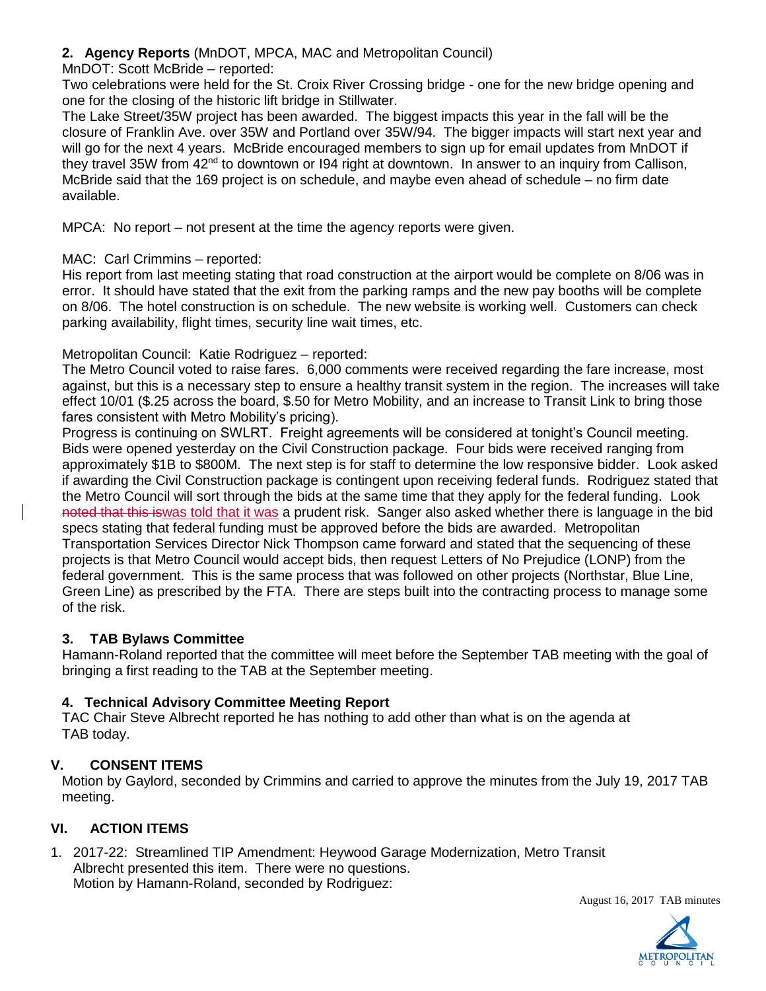### **2. Agency Reports** (MnDOT, MPCA, MAC and Metropolitan Council)

### MnDOT: Scott McBride – reported:

Two celebrations were held for the St. Croix River Crossing bridge - one for the new bridge opening and one for the closing of the historic lift bridge in Stillwater.

The Lake Street/35W project has been awarded. The biggest impacts this year in the fall will be the closure of Franklin Ave. over 35W and Portland over 35W/94. The bigger impacts will start next year and will go for the next 4 years. McBride encouraged members to sign up for email updates from MnDOT if they travel 35W from  $42<sup>nd</sup>$  to downtown or 194 right at downtown. In answer to an inquiry from Callison, McBride said that the 169 project is on schedule, and maybe even ahead of schedule – no firm date available.

MPCA: No report – not present at the time the agency reports were given.

### MAC: Carl Crimmins – reported:

His report from last meeting stating that road construction at the airport would be complete on 8/06 was in error. It should have stated that the exit from the parking ramps and the new pay booths will be complete on 8/06. The hotel construction is on schedule. The new website is working well. Customers can check parking availability, flight times, security line wait times, etc.

### Metropolitan Council: Katie Rodriguez – reported:

The Metro Council voted to raise fares. 6,000 comments were received regarding the fare increase, most against, but this is a necessary step to ensure a healthy transit system in the region. The increases will take effect 10/01 (\$.25 across the board, \$.50 for Metro Mobility, and an increase to Transit Link to bring those fares consistent with Metro Mobility's pricing).

Progress is continuing on SWLRT. Freight agreements will be considered at tonight's Council meeting. Bids were opened yesterday on the Civil Construction package. Four bids were received ranging from approximately \$1B to \$800M. The next step is for staff to determine the low responsive bidder. Look asked if awarding the Civil Construction package is contingent upon receiving federal funds. Rodriguez stated that the Metro Council will sort through the bids at the same time that they apply for the federal funding. Look noted that this iswas told that it was a prudent risk. Sanger also asked whether there is language in the bid specs stating that federal funding must be approved before the bids are awarded. Metropolitan Transportation Services Director Nick Thompson came forward and stated that the sequencing of these projects is that Metro Council would accept bids, then request Letters of No Prejudice (LONP) from the federal government. This is the same process that was followed on other projects (Northstar, Blue Line, Green Line) as prescribed by the FTA. There are steps built into the contracting process to manage some of the risk.

## **3. TAB Bylaws Committee**

Hamann-Roland reported that the committee will meet before the September TAB meeting with the goal of bringing a first reading to the TAB at the September meeting.

## **4. Technical Advisory Committee Meeting Report**

TAC Chair Steve Albrecht reported he has nothing to add other than what is on the agenda at TAB today.

## **V. CONSENT ITEMS**

Motion by Gaylord, seconded by Crimmins and carried to approve the minutes from the July 19, 2017 TAB meeting.

## **VI. ACTION ITEMS**

1. 2017-22: Streamlined TIP Amendment: Heywood Garage Modernization, Metro Transit Albrecht presented this item. There were no questions. Motion by Hamann-Roland, seconded by Rodriguez:



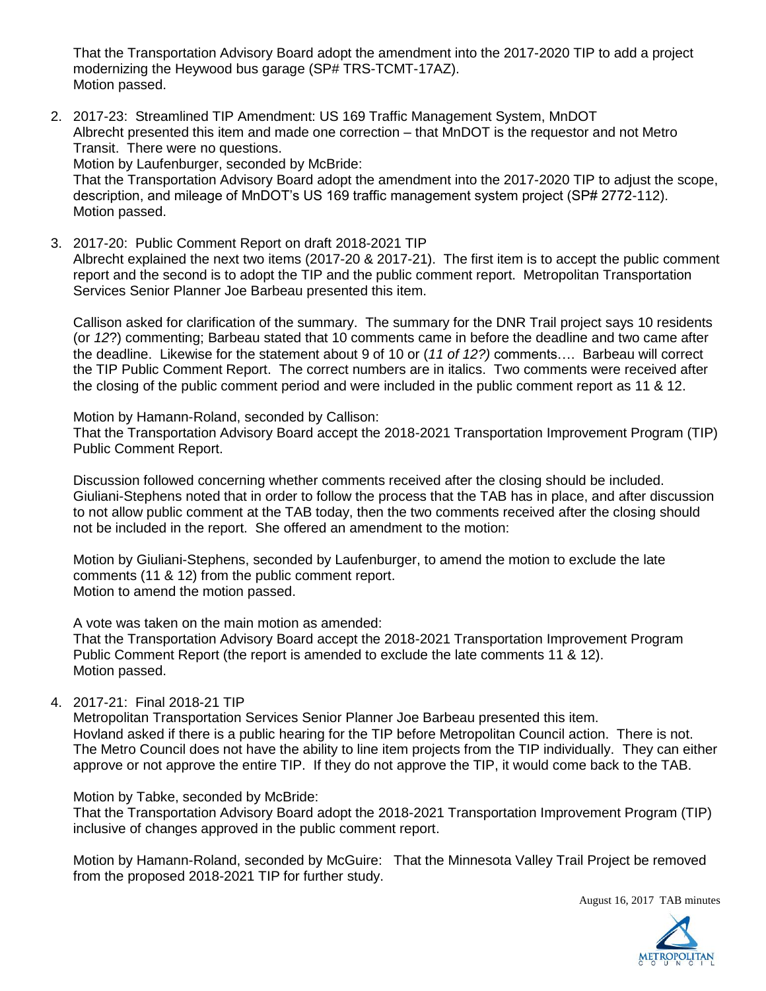That the Transportation Advisory Board adopt the amendment into the 2017-2020 TIP to add a project modernizing the Heywood bus garage (SP# TRS-TCMT-17AZ). Motion passed.

2. 2017-23: Streamlined TIP Amendment: US 169 Traffic Management System, MnDOT Albrecht presented this item and made one correction – that MnDOT is the requestor and not Metro Transit. There were no questions.

Motion by Laufenburger, seconded by McBride:

That the Transportation Advisory Board adopt the amendment into the 2017-2020 TIP to adjust the scope, description, and mileage of MnDOT's US 169 traffic management system project (SP# 2772-112). Motion passed.

3. 2017-20: Public Comment Report on draft 2018-2021 TIP Albrecht explained the next two items (2017-20 & 2017-21). The first item is to accept the public comment report and the second is to adopt the TIP and the public comment report. Metropolitan Transportation Services Senior Planner Joe Barbeau presented this item.

Callison asked for clarification of the summary. The summary for the DNR Trail project says 10 residents (or *12*?) commenting; Barbeau stated that 10 comments came in before the deadline and two came after the deadline. Likewise for the statement about 9 of 10 or (*11 of 12?)* comments…. Barbeau will correct the TIP Public Comment Report. The correct numbers are in italics. Two comments were received after the closing of the public comment period and were included in the public comment report as 11 & 12.

Motion by Hamann-Roland, seconded by Callison:

That the Transportation Advisory Board accept the 2018-2021 Transportation Improvement Program (TIP) Public Comment Report.

Discussion followed concerning whether comments received after the closing should be included. Giuliani-Stephens noted that in order to follow the process that the TAB has in place, and after discussion to not allow public comment at the TAB today, then the two comments received after the closing should not be included in the report. She offered an amendment to the motion:

Motion by Giuliani-Stephens, seconded by Laufenburger, to amend the motion to exclude the late comments (11 & 12) from the public comment report. Motion to amend the motion passed.

A vote was taken on the main motion as amended:

That the Transportation Advisory Board accept the 2018-2021 Transportation Improvement Program Public Comment Report (the report is amended to exclude the late comments 11 & 12). Motion passed.

4. 2017-21: Final 2018-21 TIP

Metropolitan Transportation Services Senior Planner Joe Barbeau presented this item. Hovland asked if there is a public hearing for the TIP before Metropolitan Council action. There is not. The Metro Council does not have the ability to line item projects from the TIP individually. They can either approve or not approve the entire TIP. If they do not approve the TIP, it would come back to the TAB.

Motion by Tabke, seconded by McBride:

That the Transportation Advisory Board adopt the 2018-2021 Transportation Improvement Program (TIP) inclusive of changes approved in the public comment report.

Motion by Hamann-Roland, seconded by McGuire: That the Minnesota Valley Trail Project be removed from the proposed 2018-2021 TIP for further study.

August 16, 2017 TAB minutes

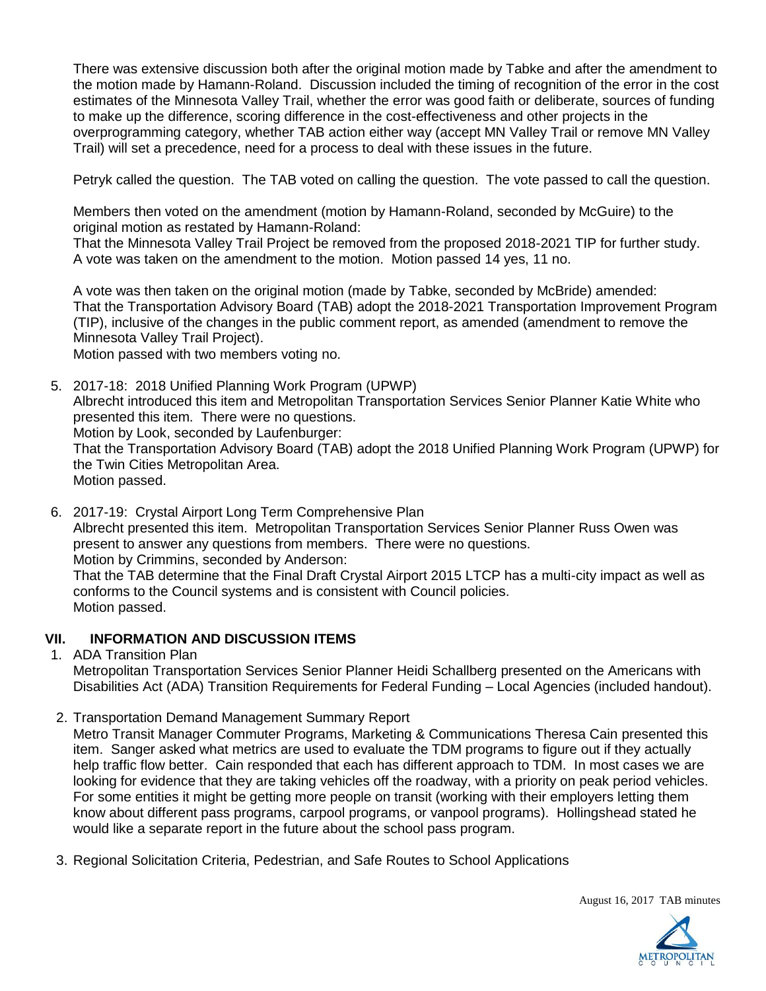There was extensive discussion both after the original motion made by Tabke and after the amendment to the motion made by Hamann-Roland. Discussion included the timing of recognition of the error in the cost estimates of the Minnesota Valley Trail, whether the error was good faith or deliberate, sources of funding to make up the difference, scoring difference in the cost-effectiveness and other projects in the overprogramming category, whether TAB action either way (accept MN Valley Trail or remove MN Valley Trail) will set a precedence, need for a process to deal with these issues in the future.

Petryk called the question. The TAB voted on calling the question. The vote passed to call the question.

Members then voted on the amendment (motion by Hamann-Roland, seconded by McGuire) to the original motion as restated by Hamann-Roland:

That the Minnesota Valley Trail Project be removed from the proposed 2018-2021 TIP for further study. A vote was taken on the amendment to the motion. Motion passed 14 yes, 11 no.

A vote was then taken on the original motion (made by Tabke, seconded by McBride) amended: That the Transportation Advisory Board (TAB) adopt the 2018-2021 Transportation Improvement Program (TIP), inclusive of the changes in the public comment report, as amended (amendment to remove the Minnesota Valley Trail Project).

Motion passed with two members voting no.

- 5. 2017-18: 2018 Unified Planning Work Program (UPWP) Albrecht introduced this item and Metropolitan Transportation Services Senior Planner Katie White who presented this item. There were no questions. Motion by Look, seconded by Laufenburger: That the Transportation Advisory Board (TAB) adopt the 2018 Unified Planning Work Program (UPWP) for the Twin Cities Metropolitan Area. Motion passed.
- 6. 2017-19: Crystal Airport Long Term Comprehensive Plan Albrecht presented this item. Metropolitan Transportation Services Senior Planner Russ Owen was present to answer any questions from members. There were no questions. Motion by Crimmins, seconded by Anderson: That the TAB determine that the Final Draft Crystal Airport 2015 LTCP has a multi-city impact as well as conforms to the Council systems and is consistent with Council policies. Motion passed.

## **VII. INFORMATION AND DISCUSSION ITEMS**

1. ADA Transition Plan

Metropolitan Transportation Services Senior Planner Heidi Schallberg presented on the Americans with Disabilities Act (ADA) Transition Requirements for Federal Funding – Local Agencies (included handout).

2. Transportation Demand Management Summary Report

Metro Transit Manager Commuter Programs, Marketing & Communications Theresa Cain presented this item. Sanger asked what metrics are used to evaluate the TDM programs to figure out if they actually help traffic flow better. Cain responded that each has different approach to TDM. In most cases we are looking for evidence that they are taking vehicles off the roadway, with a priority on peak period vehicles. For some entities it might be getting more people on transit (working with their employers letting them know about different pass programs, carpool programs, or vanpool programs). Hollingshead stated he would like a separate report in the future about the school pass program.

3. Regional Solicitation Criteria, Pedestrian, and Safe Routes to School Applications